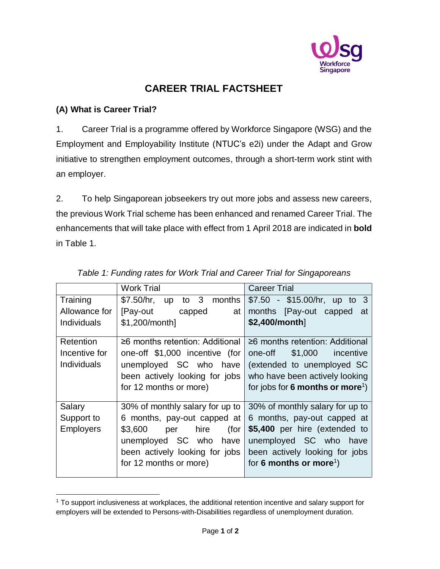

# **CAREER TRIAL FACTSHEET**

# **(A) What is Career Trial?**

 $\overline{a}$ 

1. Career Trial is a programme offered by Workforce Singapore (WSG) and the Employment and Employability Institute (NTUC's e2i) under the Adapt and Grow initiative to strengthen employment outcomes, through a short-term work stint with an employer.

2. To help Singaporean jobseekers try out more jobs and assess new careers, the previous Work Trial scheme has been enhanced and renamed Career Trial. The enhancements that will take place with effect from 1 April 2018 are indicated in **bold** in Table 1.

|                    | <b>Work Trial</b>                      | <b>Career Trial</b>                          |
|--------------------|----------------------------------------|----------------------------------------------|
| Training           | to 3 months<br>\$7.50/hr.<br><b>up</b> | $$7.50 - $15.00/hr, up to 3$                 |
| Allowance for      | [Pay-out<br>capped<br>at I             | [Pay-out capped<br>months<br>at              |
| <b>Individuals</b> | \$1,200/month]                         | \$2,400/month]                               |
|                    |                                        |                                              |
| Retention          | $\geq$ 6 months retention: Additional  | $\geq$ 6 months retention: Additional        |
| Incentive for      | one-off \$1,000 incentive (for         | one-off<br>\$1,000 incentive                 |
| <b>Individuals</b> | unemployed SC who have                 | (extended to unemployed SC                   |
|                    | been actively looking for jobs         | who have been actively looking               |
|                    | for 12 months or more)                 | for jobs for 6 months or more <sup>1</sup> ) |
|                    |                                        |                                              |
| Salary             | 30% of monthly salary for up to        | 30% of monthly salary for up to              |
| Support to         | 6 months, pay-out capped at            | 6 months, pay-out capped at                  |
| <b>Employers</b>   | hire<br>\$3,600<br>(for<br>per         | \$5,400 per hire (extended to                |
|                    | unemployed SC who<br>have              | unemployed SC who have                       |
|                    | been actively looking for jobs         | been actively looking for jobs               |
|                    | for 12 months or more)                 | for 6 months or more <sup>1</sup> )          |
|                    |                                        |                                              |

## *Table 1: Funding rates for Work Trial and Career Trial for Singaporeans*

<sup>1</sup> To support inclusiveness at workplaces, the additional retention incentive and salary support for employers will be extended to Persons-with-Disabilities regardless of unemployment duration.